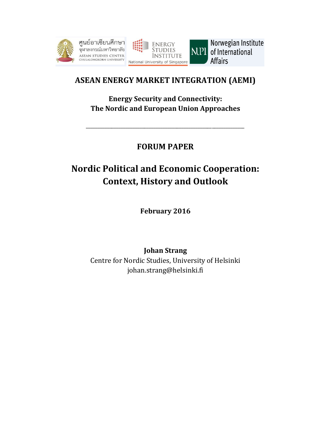



Norwegian Institute NUPI of International **Affairs** 

# **ASEAN ENERGY MARKET INTEGRATION (AEMI)**

**Energy Security and Connectivity: The Nordic and European Union Approaches**

\_\_\_\_\_\_\_\_\_\_\_\_\_\_\_\_\_\_\_\_\_\_\_\_\_\_\_\_\_\_\_\_\_\_\_\_\_\_\_\_\_\_\_\_\_\_\_\_\_\_\_\_\_\_\_\_\_\_\_\_\_\_\_\_\_\_\_\_

# **FORUM PAPER**

# **Nordic Political and Economic Cooperation: Context, History and Outlook**

**February 2016**

**Johan Strang** Centre for Nordic Studies, University of Helsinki johan.strang@helsinki.fi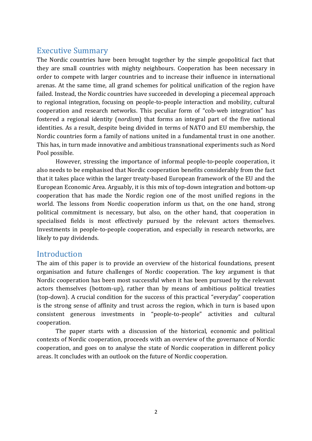## Executive Summary

The Nordic countries have been brought together by the simple geopolitical fact that they are small countries with mighty neighbours. Cooperation has been necessary in order to compete with larger countries and to increase their influence in international arenas. At the same time, all grand schemes for political unification of the region have failed. Instead, the Nordic countries have succeeded in developing a piecemeal approach to regional integration, focusing on people-to-people interaction and mobility, cultural cooperation and research networks. This peculiar form of "cob-web integration" has fostered a regional identity (*nordism*) that forms an integral part of the five national identities. As a result, despite being divided in terms of NATO and EU membership, the Nordic countries form a family of nations united in a fundamental trust in one another. This has, in turn made innovative and ambitious transnational experiments such as Nord Pool possible.

However, stressing the importance of informal people-to-people cooperation, it also needs to be emphasised that Nordic cooperation benefits considerably from the fact that it takes place within the larger treaty-based European framework of the EU and the European Economic Area. Arguably, it is this mix of top-down integration and bottom-up cooperation that has made the Nordic region one of the most unified regions in the world. The lessons from Nordic cooperation inform us that, on the one hand, strong political commitment is necessary, but also, on the other hand, that cooperation in specialised fields is most effectively pursued by the relevant actors themselves. Investments in people-to-people cooperation, and especially in research networks, are likely to pay dividends.

## **Introduction**

The aim of this paper is to provide an overview of the historical foundations, present organisation and future challenges of Nordic cooperation. The key argument is that Nordic cooperation has been most successful when it has been pursued by the relevant actors themselves (bottom-up), rather than by means of ambitious political treaties (top-down). A crucial condition for the success of this practical "everyday" cooperation is the strong sense of affinity and trust across the region, which in turn is based upon consistent generous investments in "people-to-people" activities and cultural cooperation.

The paper starts with a discussion of the historical, economic and political contexts of Nordic cooperation, proceeds with an overview of the governance of Nordic cooperation, and goes on to analyse the state of Nordic cooperation in different policy areas. It concludes with an outlook on the future of Nordic cooperation.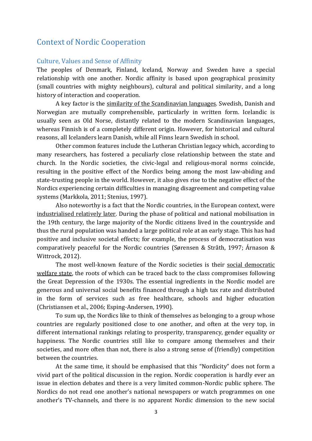# Context of Nordic Cooperation

#### Culture, Values and Sense of Affinity

The peoples of Denmark, Finland, Iceland, Norway and Sweden have a special relationship with one another. Nordic affinity is based upon geographical proximity (small countries with mighty neighbours), cultural and political similarity, and a long history of interaction and cooperation.

A key factor is the similarity of the Scandinavian languages. Swedish, Danish and Norwegian are mutually comprehensible, particularly in written form. Icelandic is usually seen as Old Norse, distantly related to the modern Scandinavian languages, whereas Finnish is of a completely different origin. However, for historical and cultural reasons, all Icelanders learn Danish, while all Finns learn Swedish in school.

Other common features include the Lutheran Christian legacy which, according to many researchers, has fostered a peculiarly close relationship between the state and church. In the Nordic societies, the civic-legal and religious-moral norms coincide, resulting in the positive effect of the Nordics being among the most law-abiding and state-trusting people in the world. However, it also gives rise to the negative effect of the Nordics experiencing certain difficulties in managing disagreement and competing value systems (Markkola, 2011; Stenius, 1997).

Also noteworthy is a fact that the Nordic countries, in the European context, were industrialised relatively later. During the phase of political and national mobilisation in the 19th century, the large majority of the Nordic citizens lived in the countryside and thus the rural population was handed a large political role at an early stage. This has had positive and inclusive societal effects; for example, the process of democratisation was comparatively peaceful for the Nordic countries (Sørensen & Stråth, 1997; Árnason & Wittrock, 2012).

The most well-known feature of the Nordic societies is their social democratic welfare state, the roots of which can be traced back to the class compromises following the Great Depression of the 1930s. The essential ingredients in the Nordic model are generous and universal social benefits financed through a high tax rate and distributed in the form of services such as free healthcare, schools and higher education (Christiansen et al., 2006; Esping-Andersen, 1990).

To sum up, the Nordics like to think of themselves as belonging to a group whose countries are regularly positioned close to one another, and often at the very top, in different international rankings relating to prosperity, transparency, gender equality or happiness. The Nordic countries still like to compare among themselves and their societies, and more often than not, there is also a strong sense of (friendly) competition between the countries.

At the same time, it should be emphasised that this "Nordicity" does not form a vivid part of the political discussion in the region. Nordic cooperation is hardly ever an issue in election debates and there is a very limited common-Nordic public sphere. The Nordics do not read one another's national newspapers or watch programmes on one another's TV-channels, and there is no apparent Nordic dimension to the new social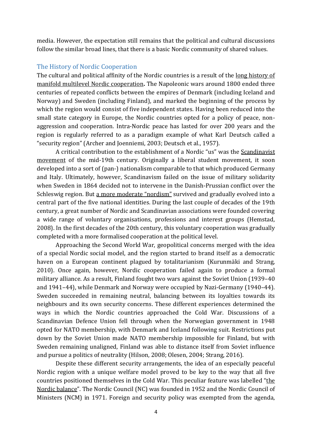media. However, the expectation still remains that the political and cultural discussions follow the similar broad lines, that there is a basic Nordic community of shared values.

#### The History of Nordic Cooperation

The cultural and political affinity of the Nordic countries is a result of the long history of manifold multilevel Nordic cooperation**.** The Napoleonic wars around 1800 ended three centuries of repeated conflicts between the empires of Denmark (including Iceland and Norway) and Sweden (including Finland), and marked the beginning of the process by which the region would consist of five independent states. Having been reduced into the small state category in Europe, the Nordic countries opted for a policy of peace, nonaggression and cooperation. Intra-Nordic peace has lasted for over 200 years and the region is regularly referred to as a paradigm example of what Karl Deutsch called a "security region" (Archer and Joenniemi, 2003; Deutsch et al., 1957).

A critical contribution to the establishment of a Nordic "us" was the Scandinavist movement of the mid-19th century. Originally a liberal student movement, it soon developed into a sort of (pan-) nationalism comparable to that which produced Germany and Italy. Ultimately, however, Scandinavism failed on the issue of military solidarity when Sweden in 1864 decided not to intervene in the Danish-Prussian conflict over the Schleswig region. But a more moderate "nordism" survived and gradually evolved into a central part of the five national identities. During the last couple of decades of the 19th century, a great number of Nordic and Scandinavian associations were founded covering a wide range of voluntary organisations, professions and interest groups (Hemstad, 2008). In the first decades of the 20th century, this voluntary cooperation was gradually completed with a more formalised cooperation at the political level.

Approaching the Second World War, geopolitical concerns merged with the idea of a special Nordic social model, and the region started to brand itself as a democratic haven on a European continent plagued by totalitarianism (Kurunmäki and Strang, 2010). Once again, however, Nordic cooperation failed again to produce a formal military alliance. As a result, Finland fought two wars against the Soviet Union (1939–40 and 1941–44), while Denmark and Norway were occupied by Nazi-Germany (1940–44). Sweden succeeded in remaining neutral, balancing between its loyalties towards its neighbours and its own security concerns. These different experiences determined the ways in which the Nordic countries approached the Cold War. Discussions of a Scandinavian Defence Union fell through when the Norwegian government in 1948 opted for NATO membership, with Denmark and Iceland following suit. Restrictions put down by the Soviet Union made NATO membership impossible for Finland, but with Sweden remaining unaligned, Finland was able to distance itself from Soviet influence and pursue a politics of neutrality (Hilson, 2008; Olesen, 2004; Strang, 2016).

Despite these different security arrangements, the idea of an especially peaceful Nordic region with a unique welfare model proved to be key to the way that all five countries positioned themselves in the Cold War. This peculiar feature was labelled "the Nordic balance". The Nordic Council (NC) was founded in 1952 and the Nordic Council of Ministers (NCM) in 1971. Foreign and security policy was exempted from the agenda,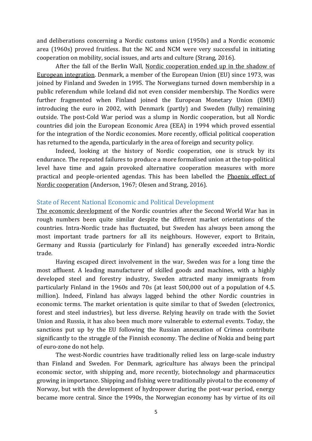and deliberations concerning a Nordic customs union (1950s) and a Nordic economic area (1960s) proved fruitless. But the NC and NCM were very successful in initiating cooperation on mobility, social issues, and arts and culture (Strang, 2016).

After the fall of the Berlin Wall, Nordic cooperation ended up in the shadow of European integration. Denmark, a member of the European Union (EU) since 1973, was joined by Finland and Sweden in 1995. The Norwegians turned down membership in a public referendum while Iceland did not even consider membership. The Nordics were further fragmented when Finland joined the European Monetary Union (EMU) introducing the euro in 2002, with Denmark (partly) and Sweden (fully) remaining outside. The post-Cold War period was a slump in Nordic cooperation, but all Nordic countries did join the European Economic Area (EEA) in 1994 which proved essential for the integration of the Nordic economies. More recently, official political cooperation has returned to the agenda, particularly in the area of foreign and security policy.

Indeed, looking at the history of Nordic cooperation, one is struck by its endurance. The repeated failures to produce a more formalised union at the top-political level have time and again provoked alternative cooperation measures with more practical and people-oriented agendas. This has been labelled the Phoenix effect of Nordic cooperation (Anderson, 1967; Olesen and Strang, 2016).

#### State of Recent National Economic and Political Development

The economic development of the Nordic countries after the Second World War has in rough numbers been quite similar despite the different market orientations of the countries. Intra-Nordic trade has fluctuated, but Sweden has always been among the most important trade partners for all its neighbours. However, export to Britain, Germany and Russia (particularly for Finland) has generally exceeded intra-Nordic trade.

Having escaped direct involvement in the war, Sweden was for a long time the most affluent. A leading manufacturer of skilled goods and machines, with a highly developed steel and forestry industry, Sweden attracted many immigrants from particularly Finland in the 1960s and 70s (at least 500,000 out of a population of 4.5. million). Indeed, Finland has always lagged behind the other Nordic countries in economic terms. The market orientation is quite similar to that of Sweden (electronics, forest and steel industries), but less diverse. Relying heavily on trade with the Soviet Union and Russia, it has also been much more vulnerable to external events. Today, the sanctions put up by the EU following the Russian annexation of Crimea contribute significantly to the struggle of the Finnish economy. The decline of Nokia and being part of euro-zone do not help.

The west-Nordic countries have traditionally relied less on large-scale industry than Finland and Sweden. For Denmark, agriculture has always been the principal economic sector, with shipping and, more recently, biotechnology and pharmaceutics growing in importance. Shipping and fishing were traditionally pivotal to the economy of Norway, but with the development of hydropower during the post-war period, energy became more central. Since the 1990s, the Norwegian economy has by virtue of its oil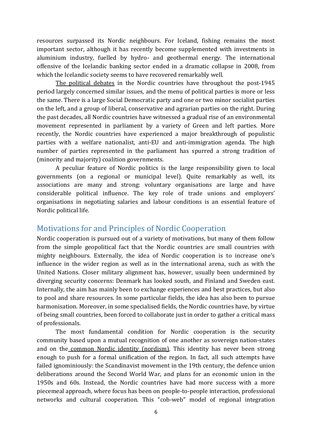resources surpassed its Nordic neighbours. For Iceland, fishing remains the most important sector, although it has recently become supplemented with investments in aluminium industry, fuelled by hydro- and geothermal energy. The international offensive of the Icelandic banking sector ended in a dramatic collapse in 2008, from which the Icelandic society seems to have recovered remarkably well.

The political debates in the Nordic countries have throughout the post-1945 period largely concerned similar issues, and the menu of political parties is more or less the same. There is a large Social Democratic party and one or two minor socialist parties on the left, and a group of liberal, conservative and agrarian parties on the right. During the past decades, all Nordic countries have witnessed a gradual rise of an environmental movement represented in parliament by a variety of Green and left parties. More recently, the Nordic countries have experienced a major breakthrough of populistic parties with a welfare nationalist, anti-EU and anti-immigration agenda. The high number of parties represented in the parliament has spurred a strong tradition of (minority and majority) coalition governments.

A peculiar feature of Nordic politics is the large responsibility given to local governments (on a regional or municipal level). Quite remarkably as well, its associations are many and strong: voluntary organisations are large and have considerable political influence. The key role of trade unions and employers' organisations in negotiating salaries and labour conditions is an essential feature of Nordic political life.

# Motivations for and Principles of Nordic Cooperation

Nordic cooperation is pursued out of a variety of motivations, but many of them follow from the simple geopolitical fact that the Nordic countries are small countries with mighty neighbours. Externally, the idea of Nordic cooperation is to increase one's influence in the wider region as well as in the international arena, such as with the United Nations. Closer military alignment has, however, usually been undermined by diverging security concerns: Denmark has looked south, and Finland and Sweden east. Internally, the aim has mainly been to exchange experiences and best practices, but also to pool and share resources. In some particular fields, the idea has also been to pursue harmonisation. Moreover, in some specialised fields, the Nordic countries have, by virtue of being small countries, been forced to collaborate just in order to gather a critical mass of professionals.

The most fundamental condition for Nordic cooperation is the security community based upon a mutual recognition of one another as sovereign nation-states and on the common Nordic identity (nordism). This identity has never been strong enough to push for a formal unification of the region. In fact, all such attempts have failed ignominiously: the Scandinavist movement in the 19th century, the defence union deliberations around the Second World War, and plans for an economic union in the 1950s and 60s. Instead, the Nordic countries have had more success with a more piecemeal approach, where focus has been on people-to-people interaction, professional networks and cultural cooperation. This "cob-web" model of regional integration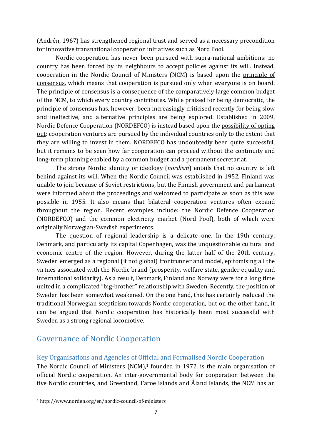(Andrén, 1967) has strengthened regional trust and served as a necessary precondition for innovative transnational cooperation initiatives such as Nord Pool.

Nordic cooperation has never been pursued with supra-national ambitions: no country has been forced by its neighbours to accept policies against its will. Instead, cooperation in the Nordic Council of Ministers (NCM) is based upon the principle of consensus, which means that cooperation is pursued only when everyone is on board. The principle of consensus is a consequence of the comparatively large common budget of the NCM, to which every country contributes. While praised for being democratic, the principle of consensus has, however, been increasingly criticised recently for being slow and ineffective, and alternative principles are being explored. Established in 2009, Nordic Defence Cooperation (NORDEFCO) is instead based upon the possibility of opting out: cooperation ventures are pursued by the individual countries only to the extent that they are willing to invest in them. NORDEFCO has undoubtedly been quite successful, but it remains to be seen how far cooperation can proceed without the continuity and long-term planning enabled by a common budget and a permanent secretariat.

The strong Nordic identity or ideology (*nordism*) entails that no country is left behind against its will. When the Nordic Council was established in 1952, Finland was unable to join because of Soviet restrictions, but the Finnish government and parliament were informed about the proceedings and welcomed to participate as soon as this was possible in 1955. It also means that bilateral cooperation ventures often expand throughout the region. Recent examples include: the Nordic Defence Cooperation (NORDEFCO) and the common electricity market (Nord Pool), both of which were originally Norwegian-Swedish experiments.

The question of regional leadership is a delicate one. In the 19th century, Denmark, and particularly its capital Copenhagen, was the unquestionable cultural and economic centre of the region. However, during the latter half of the 20th century, Sweden emerged as a regional (if not global) frontrunner and model, epitomising all the virtues associated with the Nordic brand (prosperity, welfare state, gender equality and international solidarity). As a result, Denmark, Finland and Norway were for a long time united in a complicated "big-brother" relationship with Sweden. Recently, the position of Sweden has been somewhat weakened. On the one hand, this has certainly reduced the traditional Norwegian scepticism towards Nordic cooperation, but on the other hand, it can be argued that Nordic cooperation has historically been most successful with Sweden as a strong regional locomotive.

# Governance of Nordic Cooperation

#### Key Organisations and Agencies of Official and Formalised Nordic Cooperation

The Nordic Council of Ministers (NCM),<sup>1</sup> founded in 1972, is the main organisation of official Nordic cooperation. An inter-governmental body for cooperation between the five Nordic countries, and Greenland, Faroe Islands and Åland Islands, the NCM has an

 $\overline{\phantom{a}}$ 

<sup>1</sup> http://www.norden.org/en/nordic-council-of-ministers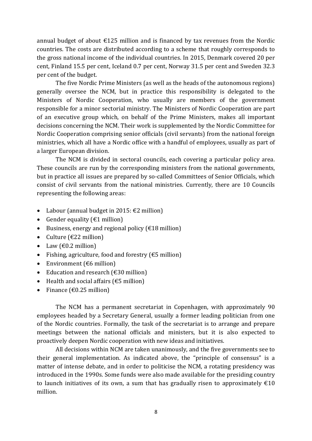annual budget of about  $\epsilon$ 125 million and is financed by tax revenues from the Nordic countries. The costs are distributed according to a scheme that roughly corresponds to the gross national income of the individual countries. In 2015, Denmark covered 20 per cent, Finland 15.5 per cent, Iceland 0.7 per cent, Norway 31.5 per cent and Sweden 32.3 per cent of the budget.

The five Nordic Prime Ministers (as well as the heads of the autonomous regions) generally oversee the NCM, but in practice this responsibility is delegated to the Ministers of Nordic Cooperation, who usually are members of the government responsible for a minor sectorial ministry. The Ministers of Nordic Cooperation are part of an executive group which, on behalf of the Prime Ministers, makes all important decisions concerning the NCM. Their work is supplemented by the Nordic Committee for Nordic Cooperation comprising senior officials (civil servants) from the national foreign ministries, which all have a Nordic office with a handful of employees, usually as part of a larger European division.

The NCM is divided in sectoral councils, each covering a particular policy area. These councils are run by the corresponding ministers from the national governments, but in practice all issues are prepared by so-called Committees of Senior Officials, which consist of civil servants from the national ministries. Currently, there are 10 Councils representing the following areas:

- Labour (annual budget in 2015:  $\epsilon$ 2 million)
- Gender equality ( $\epsilon$ 1 million)
- Business, energy and regional policy ( $\epsilon$ 18 million)
- Culture ( $\epsilon$ 22 million)
- Law  $(\text{\textsterling}0.2 \text{ million})$
- Fishing, agriculture, food and forestry ( $€5$  million)
- Environment ( $\epsilon$ 6 million)
- Education and research  $f \in 30$  million
- $\bullet$  Health and social affairs ( $\epsilon$ 5 million)
- Finance ( $\epsilon$ 0.25 million)

The NCM has a permanent secretariat in Copenhagen, with approximately 90 employees headed by a Secretary General, usually a former leading politician from one of the Nordic countries. Formally, the task of the secretariat is to arrange and prepare meetings between the national officials and ministers, but it is also expected to proactively deepen Nordic cooperation with new ideas and initiatives.

All decisions within NCM are taken unanimously, and the five governments see to their general implementation. As indicated above, the "principle of consensus" is a matter of intense debate, and in order to politicise the NCM, a rotating presidency was introduced in the 1990s. Some funds were also made available for the presiding country to launch initiatives of its own, a sum that has gradually risen to approximately  $\epsilon$ 10 million.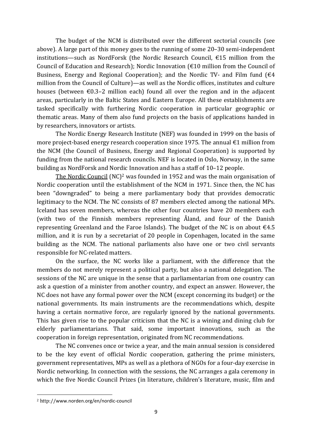The budget of the NCM is distributed over the different sectorial councils (see above). A large part of this money goes to the running of some 20–30 semi-independent institutions—such as NordForsk (the Nordic Research Council, €15 million from the Council of Education and Research); Nordic Innovation (€10 million from the Council of Business, Energy and Regional Cooperation); and the Nordic TV- and Film fund  $f \in 4$ million from the Council of Culture)—as well as the Nordic offices, institutes and culture houses (between  $\epsilon$ 0.3–2 million each) found all over the region and in the adjacent areas, particularly in the Baltic States and Eastern Europe. All these establishments are tasked specifically with furthering Nordic cooperation in particular geographic or thematic areas. Many of them also fund projects on the basis of applications handed in by researchers, innovators or artists.

The Nordic Energy Research Institute (NEF) was founded in 1999 on the basis of more project-based energy research cooperation since 1975. The annual  $\epsilon$ 1 million from the NCM (the Council of Business, Energy and Regional Cooperation) is supported by funding from the national research councils. NEF is located in Oslo, Norway, in the same building as NordForsk and Nordic Innovation and has a staff of 10–12 people.

The Nordic Council (NC)<sup>2</sup> was founded in 1952 and was the main organisation of Nordic cooperation until the establishment of the NCM in 1971. Since then, the NC has been "downgraded" to being a mere parliamentary body that provides democratic legitimacy to the NCM. The NC consists of 87 members elected among the national MPs. Iceland has seven members, whereas the other four countries have 20 members each (with two of the Finnish members representing Åland, and four of the Danish representing Greenland and the Faroe Islands). The budget of the NC is on about  $\epsilon$ 4.5 million, and it is run by a secretariat of 20 people in Copenhagen, located in the same building as the NCM. The national parliaments also have one or two civil servants responsible for NC-related matters.

On the surface, the NC works like a parliament, with the difference that the members do not merely represent a political party, but also a national delegation. The sessions of the NC are unique in the sense that a parliamentarian from one country can ask a question of a minister from another country, and expect an answer. However, the NC does not have any formal power over the NCM (except concerning its budget) or the national governments. Its main instruments are the recommendations which, despite having a certain normative force, are regularly ignored by the national governments. This has given rise to the popular criticism that the NC is a wining and dining club for elderly parliamentarians. That said, some important innovations, such as the cooperation in foreign representation, originated from NC recommendations.

The NC convenes once or twice a year, and the main annual session is considered to be the key event of official Nordic cooperation, gathering the prime ministers, government representatives, MPs as well as a plethora of NGOs for a four-day exercise in Nordic networking. In connection with the sessions, the NC arranges a gala ceremony in which the five Nordic Council Prizes (in literature, children's literature, music, film and

l

<sup>2</sup> http://www.norden.org/en/nordic-council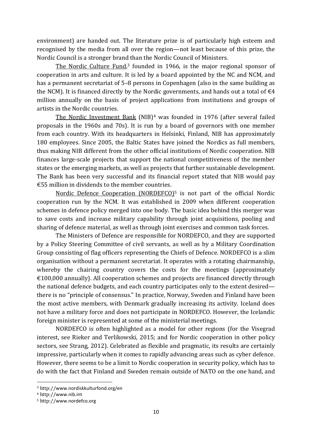environment) are handed out. The literature prize is of particularly high esteem and recognised by the media from all over the region—not least because of this prize, the Nordic Council is a stronger brand than the Nordic Council of Ministers.

The Nordic Culture Fund,<sup>3</sup> founded in 1966, is the major regional sponsor of cooperation in arts and culture. It is led by a board appointed by the NC and NCM, and has a permanent secretariat of 5–8 persons in Copenhagen (also in the same building as the NCM). It is financed directly by the Nordic governments, and hands out a total of  $\epsilon$ 4 million annually on the basis of project applications from institutions and groups of artists in the Nordic countries.

The Nordic Investment Bank (NIB)<sup>4</sup> was founded in 1976 (after several failed proposals in the 1960s and 70s). It is run by a board of governors with one member from each country. With its headquarters in Helsinki, Finland, NIB has approximately 180 employees. Since 2005, the Baltic States have joined the Nordics as full members, thus making NIB different from the other official institutions of Nordic cooperation. NIB finances large-scale projects that support the national competitiveness of the member states or the emerging markets, as well as projects that further sustainable development. The Bank has been very successful and its financial report stated that NIB would pay €55 million in dividends to the member countries.

Nordic Defence Cooperation (NORDEFCO)<sup>5</sup> is not part of the official Nordic cooperation run by the NCM. It was established in 2009 when different cooperation schemes in defence policy merged into one body. The basic idea behind this merger was to save costs and increase military capability through joint acquisitions, pooling and sharing of defence material, as well as through joint exercises and common task forces.

The Ministers of Defence are responsible for NORDEFCO, and they are supported by a Policy Steering Committee of civil servants, as well as by a Military Coordination Group consisting of flag officers representing the Chiefs of Defence. NORDEFCO is a slim organisation without a permanent secretariat. It operates with a rotating chairmanship, whereby the chairing country covers the costs for the meetings (approximately  $€100,000$  annually). All cooperation schemes and projects are financed directly through the national defence budgets, and each country participates only to the extent desired there is no "principle of consensus." In practice, Norway, Sweden and Finland have been the most active members, with Denmark gradually increasing its activity. Iceland does not have a military force and does not participate in NORDEFCO. However, the Icelandic foreign minister is represented at some of the ministerial meetings.

NORDEFCO is often highlighted as a model for other regions (for the Visegrad interest, see Rieker and Terlikowski, 2015; and for Nordic cooperation in other policy sectors, see Strang, 2012). Celebrated as flexible and pragmatic, its results are certainly impressive, particularly when it comes to rapidly advancing areas such as cyber defence. However, there seems to be a limit to Nordic cooperation in security policy, which has to do with the fact that Finland and Sweden remain outside of NATO on the one hand, and

 $\overline{\phantom{a}}$ 

<sup>3</sup> http://www.nordiskkulturfond.org/en

<sup>4</sup> http://www.nib.int

<sup>5</sup> http://www.nordefco.org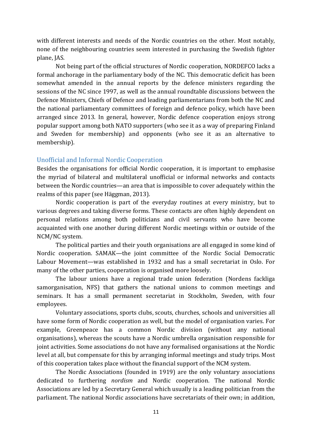with different interests and needs of the Nordic countries on the other. Most notably, none of the neighbouring countries seem interested in purchasing the Swedish fighter plane, JAS.

Not being part of the official structures of Nordic cooperation, NORDEFCO lacks a formal anchorage in the parliamentary body of the NC. This democratic deficit has been somewhat amended in the annual reports by the defence ministers regarding the sessions of the NC since 1997, as well as the annual roundtable discussions between the Defence Ministers, Chiefs of Defence and leading parliamentarians from both the NC and the national parliamentary committees of foreign and defence policy, which have been arranged since 2013. In general, however, Nordic defence cooperation enjoys strong popular support among both NATO supporters (who see it as a way of preparing Finland and Sweden for membership) and opponents (who see it as an alternative to membership).

## Unofficial and Informal Nordic Cooperation

Besides the organisations for official Nordic cooperation, it is important to emphasise the myriad of bilateral and multilateral unofficial or informal networks and contacts between the Nordic countries—an area that is impossible to cover adequately within the realms of this paper (see Häggman, 2013).

Nordic cooperation is part of the everyday routines at every ministry*,* but to various degrees and taking diverse forms. These contacts are often highly dependent on personal relations among both politicians and civil servants who have become acquainted with one another during different Nordic meetings within or outside of the NCM/NC system.

The political parties and their youth organisations are all engaged in some kind of Nordic cooperation. SAMAK—the joint committee of the Nordic Social Democratic Labour Movement—was established in 1932 and has a small secretariat in Oslo. For many of the other parties, cooperation is organised more loosely.

The labour unions have a regional trade union federation (Nordens fackliga samorganisation, NFS) that gathers the national unions to common meetings and seminars. It has a small permanent secretariat in Stockholm, Sweden, with four employees.

Voluntary associations, sports clubs, scouts, churches, schools and universities all have some form of Nordic cooperation as well, but the model of organisation varies. For example, Greenpeace has a common Nordic division (without any national organisations), whereas the scouts have a Nordic umbrella organisation responsible for joint activities. Some associations do not have any formalised organisations at the Nordic level at all, but compensate for this by arranging informal meetings and study trips. Most of this cooperation takes place without the financial support of the NCM system.

The Nordic Associations (founded in 1919) are the only voluntary associations dedicated to furthering *nordism* and Nordic cooperation. The national Nordic Associations are led by a Secretary General which usually is a leading politician from the parliament. The national Nordic associations have secretariats of their own; in addition,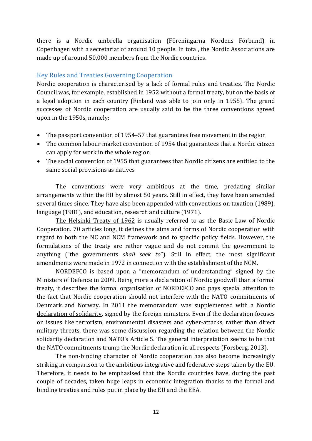there is a Nordic umbrella organisation (Föreningarna Nordens Förbund) in Copenhagen with a secretariat of around 10 people. In total, the Nordic Associations are made up of around 50,000 members from the Nordic countries.

#### Key Rules and Treaties Governing Cooperation

Nordic cooperation is characterised by a lack of formal rules and treaties. The Nordic Council was, for example, established in 1952 without a formal treaty, but on the basis of a legal adoption in each country (Finland was able to join only in 1955). The grand successes of Nordic cooperation are usually said to be the three conventions agreed upon in the 1950s, namely:

- The passport convention of 1954–57 that guarantees free movement in the region
- The common labour market convention of 1954 that guarantees that a Nordic citizen can apply for work in the whole region
- The social convention of 1955 that guarantees that Nordic citizens are entitled to the same social provisions as natives

The conventions were very ambitious at the time, predating similar arrangements within the EU by almost 50 years. Still in effect, they have been amended several times since. They have also been appended with conventions on taxation (1989), language (1981), and education, research and culture (1971).

The Helsinki Treaty of 1962 is usually referred to as the Basic Law of Nordic Cooperation. 70 articles long, it defines the aims and forms of Nordic cooperation with regard to both the NC and NCM framework and to specific policy fields. However, the formulations of the treaty are rather vague and do not commit the government to anything ("the governments *shall seek to*"). Still in effect, the most significant amendments were made in 1972 in connection with the establishment of the NCM.

NORDEFCO is based upon a "memorandum of understanding" signed by the Ministers of Defence in 2009. Being more a declaration of Nordic goodwill than a formal treaty, it describes the formal organisation of NORDEFCO and pays special attention to the fact that Nordic cooperation should not interfere with the NATO commitments of Denmark and Norway. In 2011 the memorandum was supplemented with a Nordic declaration of solidarity, signed by the foreign ministers. Even if the declaration focuses on issues like terrorism, environmental disasters and cyber-attacks, rather than direct military threats, there was some discussion regarding the relation between the Nordic solidarity declaration and NATO's Article 5. The general interpretation seems to be that the NATO commitments trump the Nordic declaration in all respects (Forsberg, 2013).

The non-binding character of Nordic cooperation has also become increasingly striking in comparison to the ambitious integrative and federative steps taken by the EU. Therefore, it needs to be emphasised that the Nordic countries have, during the past couple of decades, taken huge leaps in economic integration thanks to the formal and binding treaties and rules put in place by the EU and the EEA.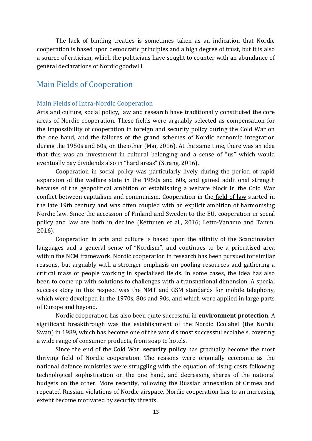The lack of binding treaties is sometimes taken as an indication that Nordic cooperation is based upon democratic principles and a high degree of trust, but it is also a source of criticism, which the politicians have sought to counter with an abundance of general declarations of Nordic goodwill.

# Main Fields of Cooperation

#### Main Fields of Intra-Nordic Cooperation

Arts and culture, social policy, law and research have traditionally constituted the core areas of Nordic cooperation. These fields were arguably selected as compensation for the impossibility of cooperation in foreign and security policy during the Cold War on the one hand, and the failures of the grand schemes of Nordic economic integration during the 1950s and 60s, on the other (Mai, 2016). At the same time, there was an idea that this was an investment in cultural belonging and a sense of "us" which would eventually pay dividends also in "hard areas" (Strang, 2016).

Cooperation in social policy was particularly lively during the period of rapid expansion of the welfare state in the 1950s and 60s, and gained additional strength because of the geopolitical ambition of establishing a welfare block in the Cold War conflict between capitalism and communism. Cooperation in the field of law started in the late 19th century and was often coupled with an explicit ambition of harmonising Nordic law. Since the accession of Finland and Sweden to the EU, cooperation in social policy and law are both in decline (Kettunen et al., 2016; Letto-Vanamo and Tamm, 2016).

Cooperation in arts and culture is based upon the affinity of the Scandinavian languages and a general sense of "Nordism", and continues to be a prioritised area within the NCM framework. Nordic cooperation in research has been pursued for similar reasons, but arguably with a stronger emphasis on pooling resources and gathering a critical mass of people working in specialised fields. In some cases, the idea has also been to come up with solutions to challenges with a transnational dimension. A special success story in this respect was the NMT and GSM standards for mobile telephony, which were developed in the 1970s, 80s and 90s, and which were applied in large parts of Europe and beyond.

Nordic cooperation has also been quite successful in **environment protection**. A significant breakthrough was the establishment of the Nordic Ecolabel (the Nordic Swan) in 1989, which has become one of the world's most successful ecolabels, covering a wide range of consumer products, from soap to hotels.

Since the end of the Cold War, **security policy** has gradually become the most thriving field of Nordic cooperation. The reasons were originally economic as the national defence ministries were struggling with the equation of rising costs following technological sophistication on the one hand, and decreasing shares of the national budgets on the other. More recently, following the Russian annexation of Crimea and repeated Russian violations of Nordic airspace, Nordic cooperation has to an increasing extent become motivated by security threats.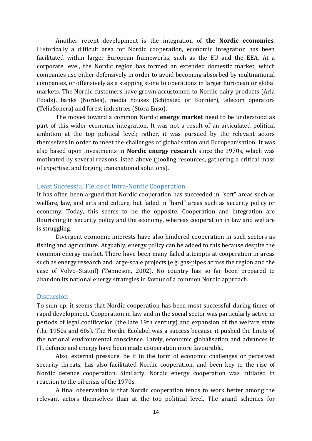Another recent development is the integration of **the Nordic economies**. Historically a difficult area for Nordic cooperation, economic integration has been facilitated within larger European frameworks, such as the EU and the EEA. At a corporate level, the Nordic region has formed an extended domestic market, which companies use either defensively in order to avoid becoming absorbed by multinational companies, or offensively as a stepping stone to operations in larger European or global markets. The Nordic customers have grown accustomed to Nordic dairy products (Arla Foods), banks (Nordea), media houses (Schibsted or Bonnier), telecom operators (TeliaSonera) and forest industries (Stora Enso).

The moves toward a common Nordic **energy market** need to be understood as part of this wider economic integration. It was not a result of an articulated political ambition at the top political level; rather, it was pursued by the relevant actors themselves in order to meet the challenges of globalisation and Europeanisation. It was also based upon investments in **Nordic energy research** since the 1970s, which was motivated by several reasons listed above (pooling resources, gathering a critical mass of expertise, and forging transnational solutions).

#### Least Successful Fields of Intra-Nordic Cooperation

It has often been argued that Nordic cooperation has succeeded in "soft" areas such as welfare, law, and arts and culture, but failed in "hard" areas such as security policy or economy. Today, this seems to be the opposite. Cooperation and integration are flourishing in security policy and the economy, whereas cooperation in law and welfare is struggling.

Divergent economic interests have also hindered cooperation in such sectors as fishing and agriculture. Arguably, energy policy can be added to this because despite the common energy market. There have been many failed attempts at cooperation in areas such as energy research and large-scale projects (e.g. gas-pipes across the region and the case of Volvo–Statoil) (Tønneson, 2002). No country has so far been prepared to abandon its national energy strategies in favour of a common Nordic approach.

#### **Discussion**

To sum up, it seems that Nordic cooperation has been most successful during times of rapid development. Cooperation in law and in the social sector was particularly active in periods of legal codification (the late 19th century) and expansion of the welfare state (the 1950s and 60s). The Nordic Ecolabel was a success because it pushed the limits of the national environmental conscience. Lately, economic globalisation and advances in IT, defence and energy have been made cooperation more favourable.

Also, external pressure, be it in the form of economic challenges or perceived security threats, has also facilitated Nordic cooperation, and been key to the rise of Nordic defence cooperation. Similarly, Nordic energy cooperation was initiated in reaction to the oil crisis of the 1970s.

A final observation is that Nordic cooperation tends to work better among the relevant actors themselves than at the top political level. The grand schemes for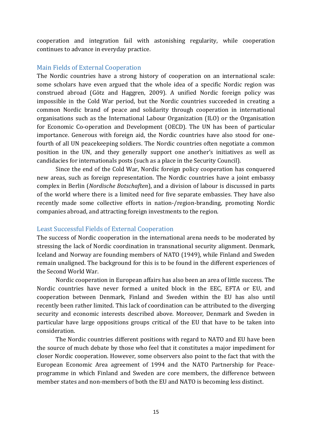cooperation and integration fail with astonishing regularity, while cooperation continues to advance in everyday practice.

#### Main Fields of External Cooperation

The Nordic countries have a strong history of cooperation on an international scale: some scholars have even argued that the whole idea of a specific Nordic region was construed abroad (Götz and Haggren, 2009). A unified Nordic foreign policy was impossible in the Cold War period, but the Nordic countries succeeded in creating a common Nordic brand of peace and solidarity through cooperation in international organisations such as the International Labour Organization (ILO) or the Organisation for Economic Co-operation and Development (OECD). The UN has been of particular importance. Generous with foreign aid, the Nordic countries have also stood for onefourth of all UN peacekeeping soldiers. The Nordic countries often negotiate a common position in the UN, and they generally support one another's initiatives as well as candidacies for internationals posts (such as a place in the Security Council).

Since the end of the Cold War, Nordic foreign policy cooperation has conquered new areas, such as foreign representation. The Nordic countries have a joint embassy complex in Berlin (*Nordische Botschaften*), and a division of labour is discussed in parts of the world where there is a limited need for five separate embassies. They have also recently made some collective efforts in nation-/region-branding, promoting Nordic companies abroad, and attracting foreign investments to the region.

#### Least Successful Fields of External Cooperation

The success of Nordic cooperation in the international arena needs to be moderated by stressing the lack of Nordic coordination in transnational security alignment. Denmark, Iceland and Norway are founding members of NATO (1949), while Finland and Sweden remain unaligned. The background for this is to be found in the different experiences of the Second World War.

Nordic cooperation in European affairs has also been an area of little success. The Nordic countries have never formed a united block in the EEC, EFTA or EU, and cooperation between Denmark, Finland and Sweden within the EU has also until recently been rather limited. This lack of coordination can be attributed to the diverging security and economic interests described above. Moreover, Denmark and Sweden in particular have large oppositions groups critical of the EU that have to be taken into consideration.

The Nordic countries different positions with regard to NATO and EU have been the source of much debate by those who feel that it constitutes a major impediment for closer Nordic cooperation. However, some observers also point to the fact that with the European Economic Area agreement of 1994 and the NATO Partnership for Peaceprogramme in which Finland and Sweden are core members, the difference between member states and non-members of both the EU and NATO is becoming less distinct.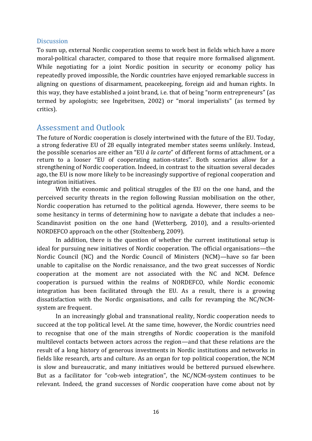#### **Discussion**

To sum up, external Nordic cooperation seems to work best in fields which have a more moral-political character, compared to those that require more formalised alignment. While negotiating for a joint Nordic position in security or economy policy has repeatedly proved impossible, the Nordic countries have enjoyed remarkable success in aligning on questions of disarmament, peacekeeping, foreign aid and human rights. In this way, they have established a joint brand, i.e. that of being "norm entrepreneurs" (as termed by apologists; see Ingebritsen, 2002) or "moral imperialists" (as termed by critics).

## Assessment and Outlook

The future of Nordic cooperation is closely intertwined with the future of the EU. Today, a strong federative EU of 28 equally integrated member states seems unlikely. Instead, the possible scenarios are either an "EU *à la carte*" of different forms of attachment, or a return to a looser "EU of cooperating nation-states". Both scenarios allow for a strengthening of Nordic cooperation. Indeed, in contrast to the situation several decades ago, the EU is now more likely to be increasingly supportive of regional cooperation and integration initiatives.

With the economic and political struggles of the EU on the one hand, and the perceived security threats in the region following Russian mobilisation on the other, Nordic cooperation has returned to the political agenda. However, there seems to be some hesitancy in terms of determining how to navigate a debate that includes a neo-Scandinavist position on the one hand (Wetterberg, 2010), and a results-oriented NORDEFCO approach on the other (Stoltenberg, 2009).

In addition, there is the question of whether the current institutional setup is ideal for pursuing new initiatives of Nordic cooperation. The official organisations—the Nordic Council (NC) and the Nordic Council of Ministers (NCM)—have so far been unable to capitalise on the Nordic renaissance, and the two great successes of Nordic cooperation at the moment are not associated with the NC and NCM. Defence cooperation is pursued within the realms of NORDEFCO, while Nordic economic integration has been facilitated through the EU. As a result, there is a growing dissatisfaction with the Nordic organisations, and calls for revamping the NC/NCMsystem are frequent.

In an increasingly global and transnational reality, Nordic cooperation needs to succeed at the top political level. At the same time, however, the Nordic countries need to recognise that one of the main strengths of Nordic cooperation is the manifold multilevel contacts between actors across the region—and that these relations are the result of a long history of generous investments in Nordic institutions and networks in fields like research, arts and culture. As an organ for top political cooperation, the NCM is slow and bureaucratic, and many initiatives would be bettered pursued elsewhere. But as a facilitator for "cob-web integration", the NC/NCM-system continues to be relevant. Indeed, the grand successes of Nordic cooperation have come about not by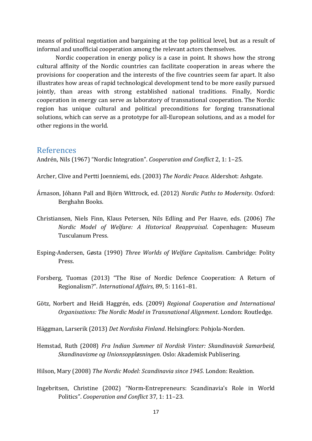means of political negotiation and bargaining at the top political level, but as a result of informal and unofficial cooperation among the relevant actors themselves.

Nordic cooperation in energy policy is a case in point. It shows how the strong cultural affinity of the Nordic countries can facilitate cooperation in areas where the provisions for cooperation and the interests of the five countries seem far apart. It also illustrates how areas of rapid technological development tend to be more easily pursued jointly, than areas with strong established national traditions. Finally, Nordic cooperation in energy can serve as laboratory of transnational cooperation. The Nordic region has unique cultural and political preconditions for forging transnational solutions, which can serve as a prototype for all-European solutions, and as a model for other regions in the world.

## References

Andrén, Nils (1967) "Nordic Integration". *Cooperation and Conflict* 2, 1: 1–25.

Archer, Clive and Pertti Joenniemi, eds. (2003) *The Nordic Peace.* Aldershot: Ashgate.

- Árnason, Jóhann Pall and Björn Wittrock, ed. (2012) *Nordic Paths to Modernity*. Oxford: Berghahn Books.
- Christiansen, Niels Finn, Klaus Petersen, Nils Edling and Per Haave, eds. (2006) *The Nordic Model of Welfare: A Historical Reappraisal*. Copenhagen: Museum Tusculanum Press.
- Esping-Andersen, Gøsta (1990) *Three Worlds of Welfare Capitalism*. Cambridge: Polity Press.
- Forsberg, Tuomas (2013) "The Rise of Nordic Defence Cooperation: A Return of Regionalism?". *International Affairs*, 89, 5: 1161–81.
- Götz, Norbert and Heidi Haggrén, eds. (2009) *Regional Cooperation and International Organisations: The Nordic Model in Transnational Alignment*. London: Routledge.

Häggman, Larserik (2013) *Det Nordiska Finland*. Helsingfors: Pohjola-Norden.

Hemstad, Ruth (2008) *Fra Indian Summer til Nordisk Vinter: Skandinavisk Samarbeid, Skandinavisme og Unionsoppløsningen*. Oslo: Akademisk Publisering.

Hilson, Mary (2008) *The Nordic Model: Scandinavia since 1945*. London: Reaktion.

Ingebritsen, Christine (2002) "Norm-Entrepreneurs: Scandinavia's Role in World Politics". *Cooperation and Conflict* 37, 1: 11–23.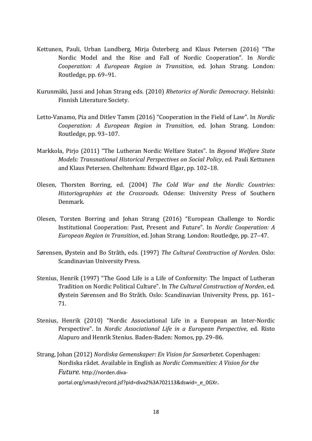- Kettunen, Pauli, Urban Lundberg, Mirja Österberg and Klaus Petersen (2016) "The Nordic Model and the Rise and Fall of Nordic Cooperation". In *Nordic Cooperation: A European Region in Transition*, ed. Johan Strang. London: Routledge, pp. 69–91.
- Kurunmäki, Jussi and Johan Strang eds. (2010) *Rhetorics of Nordic Democracy*. Helsinki: Finnish Literature Society.
- Letto-Vanamo, Pia and Ditlev Tamm (2016) "Cooperation in the Field of Law". In *Nordic Cooperation: A European Region in Transition*, ed. Johan Strang. London: Routledge, pp. 93–107.
- Markkola, Pirjo (2011) "The Lutheran Nordic Welfare States". In *Beyond Welfare State Models: Transnational Historical Perspectives on Social Policy*, ed. Pauli Kettunen and Klaus Petersen. Cheltenham: Edward Elgar, pp. 102–18.
- Olesen, Thorsten Borring, ed. (2004) *The Cold War and the Nordic Countries: Historiographies at the Crossroads*. Odense: University Press of Southern Denmark.
- Olesen, Torsten Borring and Johan Strang (2016) "European Challenge to Nordic Institutional Cooperation: Past, Present and Future". In *Nordic Cooperation: A European Region in Transition*, ed. Johan Strang. London: Routledge, pp. 27–47.
- Sørensen, Øystein and Bo Stråth, eds. (1997) *The Cultural Construction of Norden*. Oslo: Scandinavian University Press.
- Stenius, Henrik (1997) "The Good Life is a Life of Conformity: The Impact of Lutheran Tradition on Nordic Political Culture". In *The Cultural Construction of Norden*, ed. Øystein Sørensen and Bo Stråth. Oslo: Scandinavian University Press, pp. 161– 71.
- Stenius, Henrik (2010) "Nordic Associational Life in a European an Inter-Nordic Perspective". In *Nordic Associational Life in a European Perspective*, ed. Risto Alapuro and Henrik Stenius. Baden-Baden: Nomos, pp. 29–86.
- Strang, Johan (2012) *Nordiska Gemenskaper: En Vision for Samarbetet*. Copenhagen: Nordiska rådet. Available in English as *Nordic Communities: A Vision for the Future.* http://norden.diva
	- portal.org/smash/record.jsf?pid=diva2%3A702113&dswid=\_e\_0GXr.